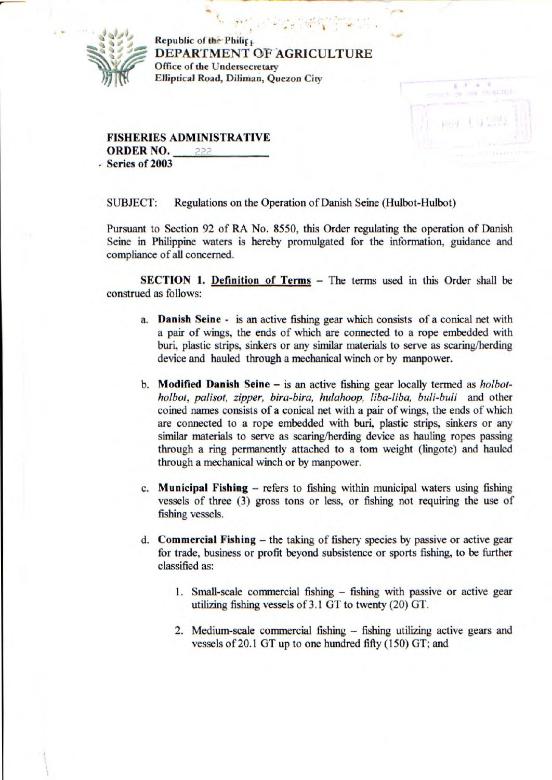

**Republic of the Philip.** DEPARTMENT G'F AGRICULTURE **Office of the Undersecretary Elliptical Road, Diliman,** *Quezon* **City** 



**FISHERIES ADMINISTRATIVE ORDER NO.**   $222$ **Series of 2003** 

SUBJECT: Regulations on the Operation of Danish Seine (Hulbot-Hulbot)

Pursuant to Section 92 of RA No. *8550,* this Order regulating the operation of Danish Seine in Philippine waters is hereby promulgated for the information, guidance and compliance of all concerned.

**SECTION 1. Definition of Terms - The terms used in this Order shall be** construed as follows:

- **a. Danish Seine**  is an active fishing gear which consists of a conical net with a pair of wings, the ends of which are connected to a rope embedded with bun, plastic strips, sinkers or any similar materials to serve as scaring/herding device and hauled through a mechanical winch or by manpower.
- **b. Modified Danish Seine**  is an active fishing gear locally termed as *holbotholbot, palisot, zipper, bira-bira, hulahoop, liba-liba, buli-buli* and other coined names consists of a conical net with a pair of wings, the ends of which are connected to a rope embedded with buri, plastic strips, sinkers or any similar materials to serve as scaring/herding device as hauling ropes passing through a ring permanently attached to a tom weight (lingote) and hauled through a mechanical winch or by manpower.
- c. **Municipal Fishing** refers to fishing within municipal waters using fishing vessels of three (3) gross tons or less, or fishing not requiring the use of fishing vessels.
- **d. Commercial Fishing**  the taking of fishery species by passive or active gear for trade, business or profit beyond subsistence or sports fishing, to be further classified as:
	- 1. Small-scale commercial fishing fishing with passive or active gear utilizing fishing vessels of 3.1 GT to twenty (20) GT.
	- 2. Medium-scale commercial fishing fishing utilizing active gears and vessels of 20.1 GT up to one hundred fifty *(150)* GT; and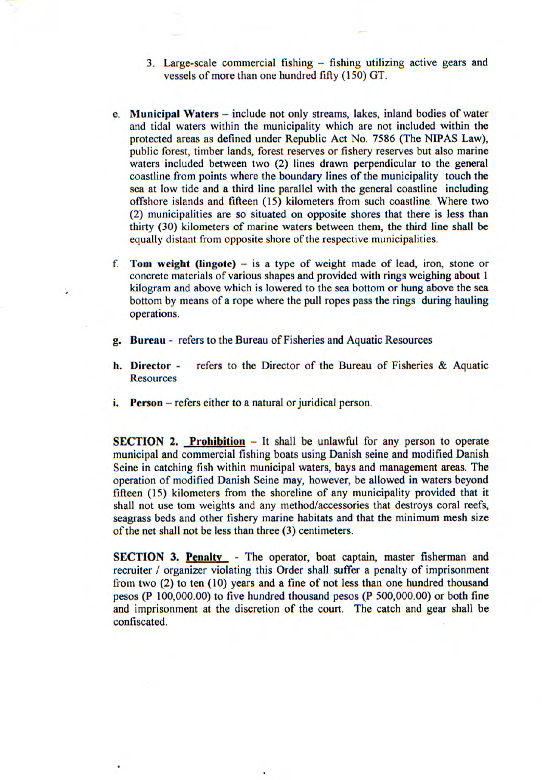- 3. Large-scale commercial fishing fishing utilizing active gears and vessels of more than one hundred fifty (150) GT.
- **e. Municipal Waters**  include not only streams, lakes, inland bodies of water and tidal waters within the municipality which are not included within the protected areas as defined under Republic Act No. 7586 (The N1PAS Law), public forest, timber lands, forest reserves or fishery reserves but also marine waters included between two (2) lines drawn perpendicular to the general coastline from points where the boundary lines of the municipality touch the sea at low tide and a third line parallel with the general coastline including offshore islands and fifteen (15) kilometers from such coastline. Where two (2) municipalities are so situated on opposite shores that there is less than thirty (30) kilometers of marine waters between them, the third line shall be equally distant from opposite shore of the respective municipalities.
- **f. Torn weight (lingote)**  is a type of weight made of lead, iron, stone or concrete materials of various shapes and provided with rings weighing about 1 kilogram and above which is lowered to the sea bottom or hung above the sea bottom by means of a rope where the pull ropes pass the rings during hauling operations.
- **g. Bureau**  refers to the Bureau of Fisheries and Aquatic Resources
- **h. Director**  refers to the Director of the Bureau of Fisheries & Aquatic **Resources**
- **i.** Person refers either to a natural or juridical person.

**SECTION 2. Prohibition** – It shall be unlawful for any person to operate municipal and commercial fishing boats using Danish seine and modified Danish Seine in catching fish within municipal waters, bays and management areas. The operation of modified Danish Seine may, however, be allowed in waters beyond fifteen (15) kilometers from the shoreline of any municipality provided that it shall not use tom weights and any method/accessories that destroys coral reefs, seagrass beds and other fishery marine habitats and that the minimum mesh size of the net shall not be less than three (3) centimeters.

**SECTION 3. Penalty** - The operator, boat captain, master fisherman and recruiter / organizer violating this Order shall suffer a penalty of imprisonment from two (2) to ten (10) years and a fine of not less than one hundred thousand pesos (P 100,000.00) to five hundred thousand pesos (P 500,000.00) or both fine and imprisonment at the discretion of the court. The catch and gear shall be confiscated.